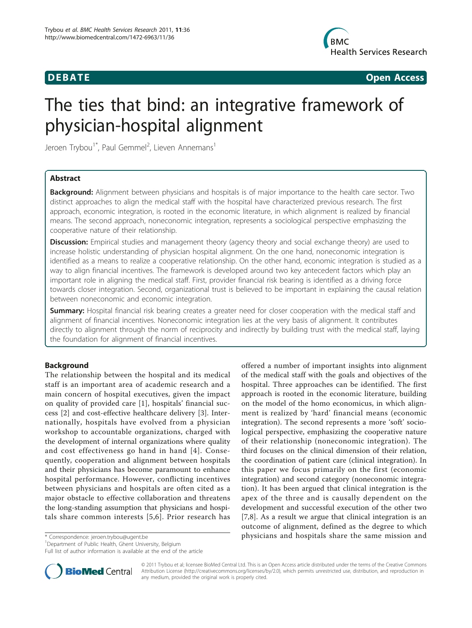

**DEBATE CONSIDERED ACCESS OPEN ACCESS** 

# The ties that bind: an integrative framework of physician-hospital alignment

Jeroen Trybou<sup>1\*</sup>, Paul Gemmel<sup>2</sup>, Lieven Annemans<sup>1</sup>

# Abstract

Background: Alignment between physicians and hospitals is of major importance to the health care sector. Two distinct approaches to align the medical staff with the hospital have characterized previous research. The first approach, economic integration, is rooted in the economic literature, in which alignment is realized by financial means. The second approach, noneconomic integration, represents a sociological perspective emphasizing the cooperative nature of their relationship.

**Discussion:** Empirical studies and management theory (agency theory and social exchange theory) are used to increase holistic understanding of physician hospital alignment. On the one hand, noneconomic integration is identified as a means to realize a cooperative relationship. On the other hand, economic integration is studied as a way to align financial incentives. The framework is developed around two key antecedent factors which play an important role in aligning the medical staff. First, provider financial risk bearing is identified as a driving force towards closer integration. Second, organizational trust is believed to be important in explaining the causal relation between noneconomic and economic integration.

Summary: Hospital financial risk bearing creates a greater need for closer cooperation with the medical staff and alignment of financial incentives. Noneconomic integration lies at the very basis of alignment. It contributes directly to alignment through the norm of reciprocity and indirectly by building trust with the medical staff, laying the foundation for alignment of financial incentives.

# Background

The relationship between the hospital and its medical staff is an important area of academic research and a main concern of hospital executives, given the impact on quality of provided care [\[1](#page-4-0)], hospitals' financial success [[2\]](#page-4-0) and cost-effective healthcare delivery [[3\]](#page-4-0). Internationally, hospitals have evolved from a physician workshop to accountable organizations, charged with the development of internal organizations where quality and cost effectiveness go hand in hand [[4](#page-4-0)]. Consequently, cooperation and alignment between hospitals and their physicians has become paramount to enhance hospital performance. However, conflicting incentives between physicians and hospitals are often cited as a major obstacle to effective collaboration and threatens the long-standing assumption that physicians and hospitals share common interests [[5](#page-4-0),[6](#page-4-0)]. Prior research has

Full list of author information is available at the end of the article

offered a number of important insights into alignment of the medical staff with the goals and objectives of the hospital. Three approaches can be identified. The first approach is rooted in the economic literature, building on the model of the homo economicus, in which alignment is realized by 'hard' financial means (economic integration). The second represents a more 'soft' sociological perspective, emphasizing the cooperative nature of their relationship (noneconomic integration). The third focuses on the clinical dimension of their relation, the coordination of patient care (clinical integration). In this paper we focus primarily on the first (economic integration) and second category (noneconomic integration). It has been argued that clinical integration is the apex of the three and is causally dependent on the development and successful execution of the other two [[7,8](#page-4-0)]. As a result we argue that clinical integration is an outcome of alignment, defined as the degree to which \* Correspondence: [jeroen.trybou@ugent.be](mailto:jeroen.trybou@ugent.be) physicians and hospitals share the same mission and 1



© 2011 Trybou et al; licensee BioMed Central Ltd. This is an Open Access article distributed under the terms of the Creative Commons Attribution License [\(http://creativecommons.org/licenses/by/2.0](http://creativecommons.org/licenses/by/2.0)), which permits unrestricted use, distribution, and reproduction in any medium, provided the original work is properly cited.

<sup>&</sup>lt;sup>1</sup>Department of Public Health, Ghent University, Belgium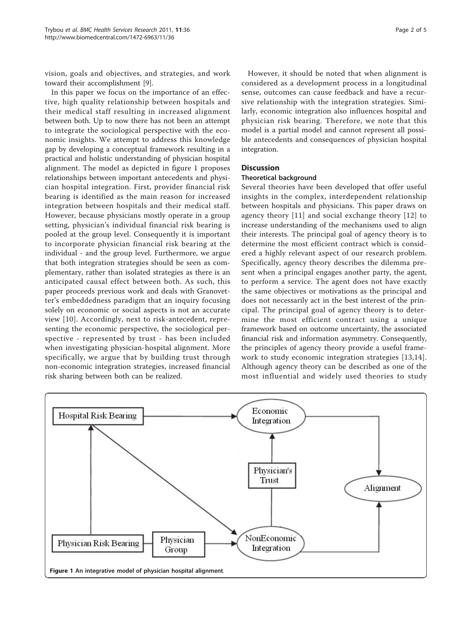vision, goals and objectives, and strategies, and work toward their accomplishment [[9\]](#page-4-0).

In this paper we focus on the importance of an effective, high quality relationship between hospitals and their medical staff resulting in increased alignment between both. Up to now there has not been an attempt to integrate the sociological perspective with the economic insights. We attempt to address this knowledge gap by developing a conceptual framework resulting in a practical and holistic understanding of physician hospital alignment. The model as depicted in figure 1 proposes relationships between important antecedents and physician hospital integration. First, provider financial risk bearing is identified as the main reason for increased integration between hospitals and their medical staff. However, because physicians mostly operate in a group setting, physician's individual financial risk bearing is pooled at the group level. Consequently it is important to incorporate physician financial risk bearing at the individual - and the group level. Furthermore, we argue that both integration strategies should be seen as complementary, rather than isolated strategies as there is an anticipated causal effect between both. As such, this paper proceeds previous work and deals with Granovetter's embeddedness paradigm that an inquiry focusing solely on economic or social aspects is not an accurate view [[10\]](#page-4-0). Accordingly, next to risk-antecedent, representing the economic perspective, the sociological perspective - represented by trust - has been included when investigating physician-hospital alignment. More specifically, we argue that by building trust through non-economic integration strategies, increased financial risk sharing between both can be realized.

However, it should be noted that when alignment is considered as a development process in a longitudinal sense, outcomes can cause feedback and have a recursive relationship with the integration strategies. Similarly, economic integration also influences hospital and physician risk bearing. Therefore, we note that this model is a partial model and cannot represent all possible antecedents and consequences of physician hospital integration.

# **Discussion**

# Theoretical background

Several theories have been developed that offer useful insights in the complex, interdependent relationship between hospitals and physicians. This paper draws on agency theory [[11\]](#page-4-0) and social exchange theory [[12](#page-4-0)] to increase understanding of the mechanisms used to align their interests. The principal goal of agency theory is to determine the most efficient contract which is considered a highly relevant aspect of our research problem. Specifically, agency theory describes the dilemma present when a principal engages another party, the agent, to perform a service. The agent does not have exactly the same objectives or motivations as the principal and does not necessarily act in the best interest of the principal. The principal goal of agency theory is to determine the most efficient contract using a unique framework based on outcome uncertainty, the associated financial risk and information asymmetry. Consequently, the principles of agency theory provide a useful framework to study economic integration strategies [\[13](#page-4-0),[14](#page-4-0)]. Although agency theory can be described as one of the most influential and widely used theories to study

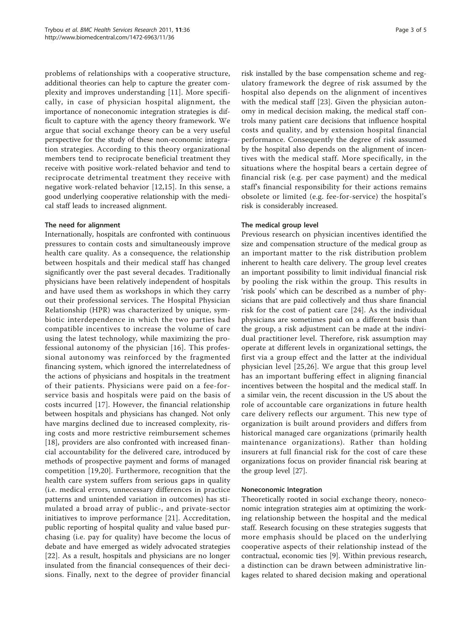problems of relationships with a cooperative structure, additional theories can help to capture the greater complexity and improves understanding [\[11](#page-4-0)]. More specifically, in case of physician hospital alignment, the importance of noneconomic integration strategies is difficult to capture with the agency theory framework. We argue that social exchange theory can be a very useful perspective for the study of these non-economic integration strategies. According to this theory organizational members tend to reciprocate beneficial treatment they receive with positive work-related behavior and tend to reciprocate detrimental treatment they receive with negative work-related behavior [[12,15\]](#page-4-0). In this sense, a good underlying cooperative relationship with the medical staff leads to increased alignment.

# The need for alignment

Internationally, hospitals are confronted with continuous pressures to contain costs and simultaneously improve health care quality. As a consequence, the relationship between hospitals and their medical staff has changed significantly over the past several decades. Traditionally physicians have been relatively independent of hospitals and have used them as workshops in which they carry out their professional services. The Hospital Physician Relationship (HPR) was characterized by unique, symbiotic interdependence in which the two parties had compatible incentives to increase the volume of care using the latest technology, while maximizing the professional autonomy of the physician [[16\]](#page-4-0). This professional autonomy was reinforced by the fragmented financing system, which ignored the interrelatedness of the actions of physicians and hospitals in the treatment of their patients. Physicians were paid on a fee-forservice basis and hospitals were paid on the basis of costs incurred [\[17](#page-4-0)]. However, the financial relationship between hospitals and physicians has changed. Not only have margins declined due to increased complexity, rising costs and more restrictive reimbursement schemes [[18\]](#page-4-0), providers are also confronted with increased financial accountability for the delivered care, introduced by methods of prospective payment and forms of managed competition [\[19,20](#page-4-0)]. Furthermore, recognition that the health care system suffers from serious gaps in quality (i.e. medical errors, unnecessary differences in practice patterns and unintended variation in outcomes) has stimulated a broad array of public-, and private-sector initiatives to improve performance [[21\]](#page-4-0). Accreditation, public reporting of hospital quality and value based purchasing (i.e. pay for quality) have become the locus of debate and have emerged as widely advocated strategies [[22\]](#page-4-0). As a result, hospitals and physicians are no longer insulated from the financial consequences of their decisions. Finally, next to the degree of provider financial risk installed by the base compensation scheme and regulatory framework the degree of risk assumed by the hospital also depends on the alignment of incentives with the medical staff [[23](#page-4-0)]. Given the physician autonomy in medical decision making, the medical staff controls many patient care decisions that influence hospital costs and quality, and by extension hospital financial performance. Consequently the degree of risk assumed by the hospital also depends on the alignment of incentives with the medical staff. More specifically, in the situations where the hospital bears a certain degree of financial risk (e.g. per case payment) and the medical staff's financial responsibility for their actions remains obsolete or limited (e.g. fee-for-service) the hospital's risk is considerably increased.

# The medical group level

Previous research on physician incentives identified the size and compensation structure of the medical group as an important matter to the risk distribution problem inherent to health care delivery. The group level creates an important possibility to limit individual financial risk by pooling the risk within the group. This results in 'risk pools' which can be described as a number of physicians that are paid collectively and thus share financial risk for the cost of patient care [[24](#page-4-0)]. As the individual physicians are sometimes paid on a different basis than the group, a risk adjustment can be made at the individual practitioner level. Therefore, risk assumption may operate at different levels in organizational settings, the first via a group effect and the latter at the individual physician level [\[25](#page-4-0),[26](#page-4-0)]. We argue that this group level has an important buffering effect in aligning financial incentives between the hospital and the medical staff. In a similar vein, the recent discussion in the US about the role of accountable care organizations in future health care delivery reflects our argument. This new type of organization is built around providers and differs from historical managed care organizations (primarily health maintenance organizations). Rather than holding insurers at full financial risk for the cost of care these organizations focus on provider financial risk bearing at the group level [[27](#page-4-0)].

#### Noneconomic Integration

Theoretically rooted in social exchange theory, noneconomic integration strategies aim at optimizing the working relationship between the hospital and the medical staff. Research focusing on these strategies suggests that more emphasis should be placed on the underlying cooperative aspects of their relationship instead of the contractual, economic ties [\[9](#page-4-0)]. Within previous research, a distinction can be drawn between administrative linkages related to shared decision making and operational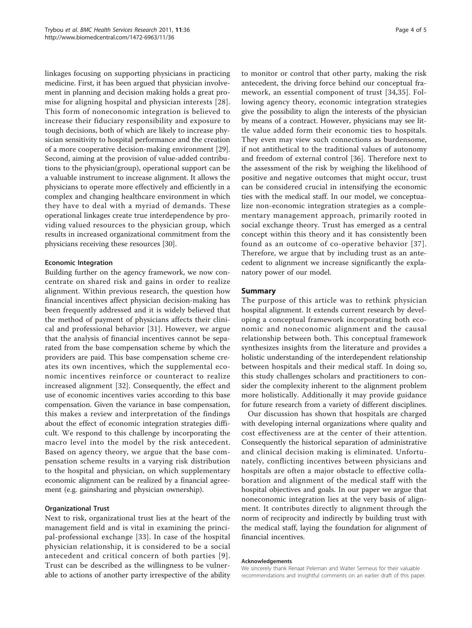linkages focusing on supporting physicians in practicing medicine. First, it has been argued that physician involvement in planning and decision making holds a great promise for aligning hospital and physician interests [[28\]](#page-4-0). This form of noneconomic integration is believed to increase their fiduciary responsibility and exposure to tough decisions, both of which are likely to increase physician sensitivity to hospital performance and the creation of a more cooperative decision-making environment [\[29](#page-4-0)]. Second, aiming at the provision of value-added contributions to the physician(group), operational support can be a valuable instrument to increase alignment. It allows the physicians to operate more effectively and efficiently in a complex and changing healthcare environment in which they have to deal with a myriad of demands. These operational linkages create true interdependence by providing valued resources to the physician group, which results in increased organizational commitment from the physicians receiving these resources [\[30\]](#page-4-0).

# Economic Integration

Building further on the agency framework, we now concentrate on shared risk and gains in order to realize alignment. Within previous research, the question how financial incentives affect physician decision-making has been frequently addressed and it is widely believed that the method of payment of physicians affects their clinical and professional behavior [\[31](#page-4-0)]. However, we argue that the analysis of financial incentives cannot be separated from the base compensation scheme by which the providers are paid. This base compensation scheme creates its own incentives, which the supplemental economic incentives reinforce or counteract to realize increased alignment [[32](#page-4-0)]. Consequently, the effect and use of economic incentives varies according to this base compensation. Given the variance in base compensation, this makes a review and interpretation of the findings about the effect of economic integration strategies difficult. We respond to this challenge by incorporating the macro level into the model by the risk antecedent. Based on agency theory, we argue that the base compensation scheme results in a varying risk distribution to the hospital and physician, on which supplementary economic alignment can be realized by a financial agreement (e.g. gainsharing and physician ownership).

# Organizational Trust

Next to risk, organizational trust lies at the heart of the management field and is vital in examining the principal-professional exchange [[33\]](#page-4-0). In case of the hospital physician relationship, it is considered to be a social antecedent and critical concern of both parties [[9\]](#page-4-0). Trust can be described as the willingness to be vulnerable to actions of another party irrespective of the ability

to monitor or control that other party, making the risk antecedent, the driving force behind our conceptual framework, an essential component of trust [\[34,35](#page-4-0)]. Following agency theory, economic integration strategies give the possibility to align the interests of the physician by means of a contract. However, physicians may see little value added form their economic ties to hospitals. They even may view such connections as burdensome, if not antithetical to the traditional values of autonomy and freedom of external control [[36\]](#page-4-0). Therefore next to the assessment of the risk by weighing the likelihood of positive and negative outcomes that might occur, trust can be considered crucial in intensifying the economic ties with the medical staff. In our model, we conceptualize non-economic integration strategies as a complementary management approach, primarily rooted in social exchange theory. Trust has emerged as a central concept within this theory and it has consistently been found as an outcome of co-operative behavior [[37\]](#page-4-0). Therefore, we argue that by including trust as an antecedent to alignment we increase significantly the explanatory power of our model.

#### Summary

The purpose of this article was to rethink physician hospital alignment. It extends current research by developing a conceptual framework incorporating both economic and noneconomic alignment and the causal relationship between both. This conceptual framework synthesizes insights from the literature and provides a holistic understanding of the interdependent relationship between hospitals and their medical staff. In doing so, this study challenges scholars and practitioners to consider the complexity inherent to the alignment problem more holistically. Additionally it may provide guidance for future research from a variety of different disciplines.

Our discussion has shown that hospitals are charged with developing internal organizations where quality and cost effectiveness are at the center of their attention. Consequently the historical separation of administrative and clinical decision making is eliminated. Unfortunately, conflicting incentives between physicians and hospitals are often a major obstacle to effective collaboration and alignment of the medical staff with the hospital objectives and goals. In our paper we argue that noneconomic integration lies at the very basis of alignment. It contributes directly to alignment through the norm of reciprocity and indirectly by building trust with the medical staff, laying the foundation for alignment of financial incentives.

#### Acknowledgements

We sincerely thank Renaat Peleman and Walter Sermeus for their valuable recommendations and insightful comments on an earlier draft of this paper.